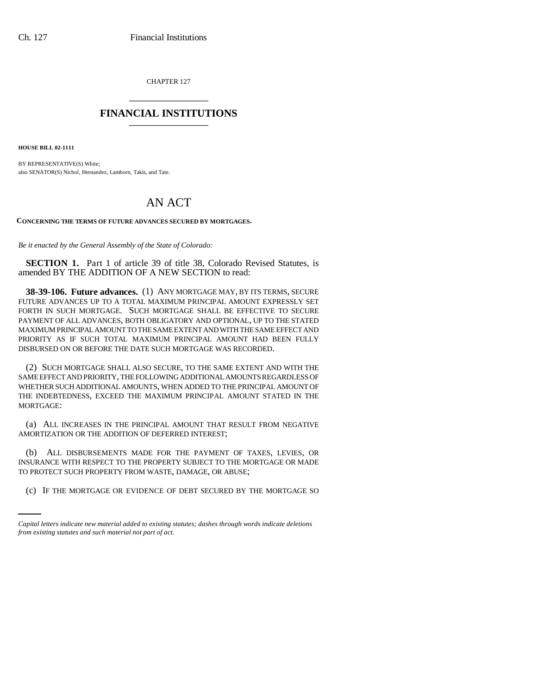CHAPTER 127 \_\_\_\_\_\_\_\_\_\_\_\_\_\_\_

## **FINANCIAL INSTITUTIONS** \_\_\_\_\_\_\_\_\_\_\_\_\_\_\_

**HOUSE BILL 02-1111**

BY REPRESENTATIVE(S) White; also SENATOR(S) Nichol, Hernandez, Lamborn, Takis, and Tate.

## AN ACT

## **CONCERNING THE TERMS OF FUTURE ADVANCES SECURED BY MORTGAGES.**

*Be it enacted by the General Assembly of the State of Colorado:*

**SECTION 1.** Part 1 of article 39 of title 38, Colorado Revised Statutes, is amended BY THE ADDITION OF A NEW SECTION to read:

**38-39-106. Future advances.** (1) ANY MORTGAGE MAY, BY ITS TERMS, SECURE FUTURE ADVANCES UP TO A TOTAL MAXIMUM PRINCIPAL AMOUNT EXPRESSLY SET FORTH IN SUCH MORTGAGE. SUCH MORTGAGE SHALL BE EFFECTIVE TO SECURE PAYMENT OF ALL ADVANCES, BOTH OBLIGATORY AND OPTIONAL, UP TO THE STATED MAXIMUM PRINCIPAL AMOUNT TO THE SAME EXTENT AND WITH THE SAME EFFECT AND PRIORITY AS IF SUCH TOTAL MAXIMUM PRINCIPAL AMOUNT HAD BEEN FULLY DISBURSED ON OR BEFORE THE DATE SUCH MORTGAGE WAS RECORDED.

(2) SUCH MORTGAGE SHALL ALSO SECURE, TO THE SAME EXTENT AND WITH THE SAME EFFECT AND PRIORITY, THE FOLLOWING ADDITIONAL AMOUNTS REGARDLESS OF WHETHER SUCH ADDITIONAL AMOUNTS, WHEN ADDED TO THE PRINCIPAL AMOUNT OF THE INDEBTEDNESS, EXCEED THE MAXIMUM PRINCIPAL AMOUNT STATED IN THE MORTGAGE:

(a) ALL INCREASES IN THE PRINCIPAL AMOUNT THAT RESULT FROM NEGATIVE AMORTIZATION OR THE ADDITION OF DEFERRED INTEREST;

TO PROTECT SUCH PROPERTY FROM WASTE, DAMAGE, OR ABUSE; (b) ALL DISBURSEMENTS MADE FOR THE PAYMENT OF TAXES, LEVIES, OR INSURANCE WITH RESPECT TO THE PROPERTY SUBJECT TO THE MORTGAGE OR MADE

(c) IF THE MORTGAGE OR EVIDENCE OF DEBT SECURED BY THE MORTGAGE SO

*Capital letters indicate new material added to existing statutes; dashes through words indicate deletions from existing statutes and such material not part of act.*